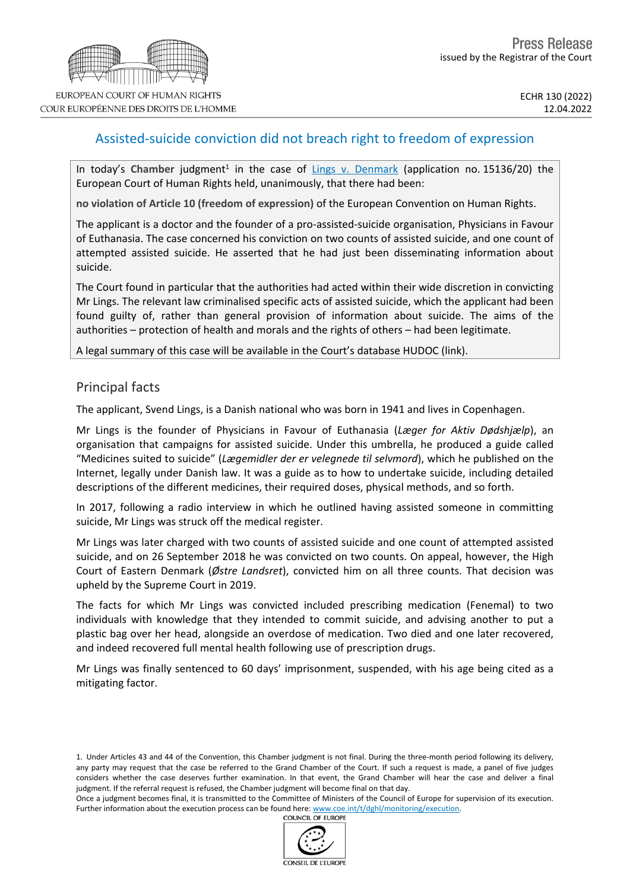## Assisted-suicide conviction did not breach right to freedom of expression

In today's Chamber judgment<sup>1</sup> in the case of *Lings v. [Denmark](https://hudoc.echr.coe.int/eng?i=001-217039)* (application no. 15136/20) the European Court of Human Rights held, unanimously, that there had been:

**no violation of Article 10 (freedom of expression)** of the European Convention on Human Rights.

The applicant is a doctor and the founder of a pro-assisted-suicide organisation, Physicians in Favour of Euthanasia. The case concerned his conviction on two counts of assisted suicide, and one count of attempted assisted suicide. He asserted that he had just been disseminating information about suicide.

The Court found in particular that the authorities had acted within their wide discretion in convicting Mr Lings. The relevant law criminalised specific acts of assisted suicide, which the applicant had been found guilty of, rather than general provision of information about suicide. The aims of the authorities – protection of health and morals and the rights of others – had been legitimate.

A legal summary of this case will be available in the Court's database HUDOC ([link](https://hudoc.echr.coe.int/eng#%7B%22appno%22:[%2215136/20%22],%22documentcollectionid2%22:[%22CLIN%22]%7D)).

### Principal facts

The applicant, Svend Lings, is a Danish national who was born in 1941 and lives in Copenhagen.

Mr Lings is the founder of Physicians in Favour of Euthanasia (*Læger for Aktiv Dødshjælp*), an organisation that campaigns for assisted suicide. Under this umbrella, he produced a guide called "Medicines suited to suicide" (*Lægemidler der er velegnede til selvmord*), which he published on the Internet, legally under Danish law. It was a guide as to how to undertake suicide, including detailed descriptions of the different medicines, their required doses, physical methods, and so forth.

In 2017, following a radio interview in which he outlined having assisted someone in committing suicide, Mr Lings was struck off the medical register.

Mr Lings was later charged with two counts of assisted suicide and one count of attempted assisted suicide, and on 26 September 2018 he was convicted on two counts. On appeal, however, the High Court of Eastern Denmark (*Østre Landsret*), convicted him on all three counts. That decision was upheld by the Supreme Court in 2019.

The facts for which Mr Lings was convicted included prescribing medication (Fenemal) to two individuals with knowledge that they intended to commit suicide, and advising another to put a plastic bag over her head, alongside an overdose of medication. Two died and one later recovered, and indeed recovered full mental health following use of prescription drugs.

Mr Lings was finally sentenced to 60 days' imprisonment, suspended, with his age being cited as a mitigating factor.

1. Under Articles 43 and 44 of the Convention, this Chamber judgment is not final. During the three-month period following its delivery, any party may request that the case be referred to the Grand Chamber of the Court. If such a request is made, a panel of five judges considers whether the case deserves further examination. In that event, the Grand Chamber will hear the case and deliver a final judgment. If the referral request is refused, the Chamber judgment will become final on that day.

Once a judgment becomes final, it is transmitted to the Committee of Ministers of the Council of Europe for supervision of its execution. Further information about the execution process can be found here: [www.coe.int/t/dghl/monitoring/execution](http://www.coe.int/t/dghl/monitoring/execution).<br>COUNCIL OF EUROPE

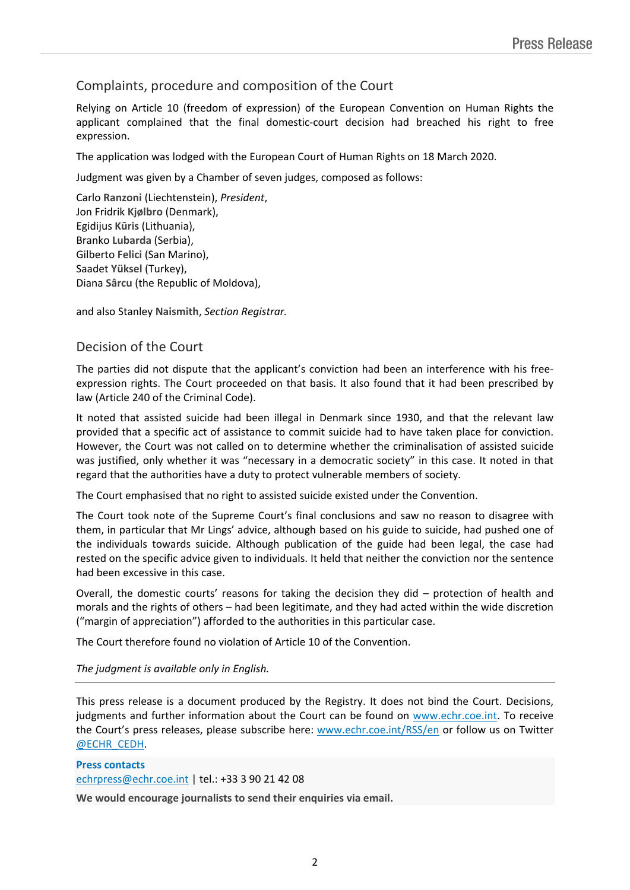# Complaints, procedure and composition of the Court

Relying on Article 10 (freedom of expression) of the European Convention on Human Rights the applicant complained that the final domestic-court decision had breached his right to free expression.

The application was lodged with the European Court of Human Rights on 18 March 2020.

Judgment was given by a Chamber of seven judges, composed as follows:

Carlo **Ranzoni** (Liechtenstein), *President*, Jon Fridrik **Kjølbro** (Denmark), Egidijus **Kūris** (Lithuania), Branko **Lubarda** (Serbia), Gilberto **Felici** (San Marino), Saadet **Yüksel** (Turkey), Diana **Sârcu** (the Republic of Moldova),

and also Stanley **Naismith**, *Section Registrar.*

## Decision of the Court

The parties did not dispute that the applicant's conviction had been an interference with his freeexpression rights. The Court proceeded on that basis. It also found that it had been prescribed by law (Article 240 of the Criminal Code).

It noted that assisted suicide had been illegal in Denmark since 1930, and that the relevant law provided that a specific act of assistance to commit suicide had to have taken place for conviction. However, the Court was not called on to determine whether the criminalisation of assisted suicide was justified, only whether it was "necessary in a democratic society" in this case. It noted in that regard that the authorities have a duty to protect vulnerable members of society.

The Court emphasised that no right to assisted suicide existed under the Convention.

The Court took note of the Supreme Court's final conclusions and saw no reason to disagree with them, in particular that Mr Lings' advice, although based on his guide to suicide, had pushed one of the individuals towards suicide. Although publication of the guide had been legal, the case had rested on the specific advice given to individuals. It held that neither the conviction nor the sentence had been excessive in this case.

Overall, the domestic courts' reasons for taking the decision they did – protection of health and morals and the rights of others – had been legitimate, and they had acted within the wide discretion ("margin of appreciation") afforded to the authorities in this particular case.

The Court therefore found no violation of Article 10 of the Convention.

### *The judgment is available only in English.*

This press release is a document produced by the Registry. It does not bind the Court. Decisions, judgments and further information about the Court can be found on [www.echr.coe.int](http://www.echr.coe.int/). To receive the Court's press releases, please subscribe here: [www.echr.coe.int/RSS/en](http://www.echr.coe.int/RSS/en) or follow us on Twitter [@ECHR\\_CEDH](https://twitter.com/ECHR_CEDH).

#### **Press contacts** [echrpress@echr.coe.int](mailto:Echrpress@echr.coe.int) | tel.: +33 3 90 21 42 08

**We would encourage journalists to send their enquiries via email.**